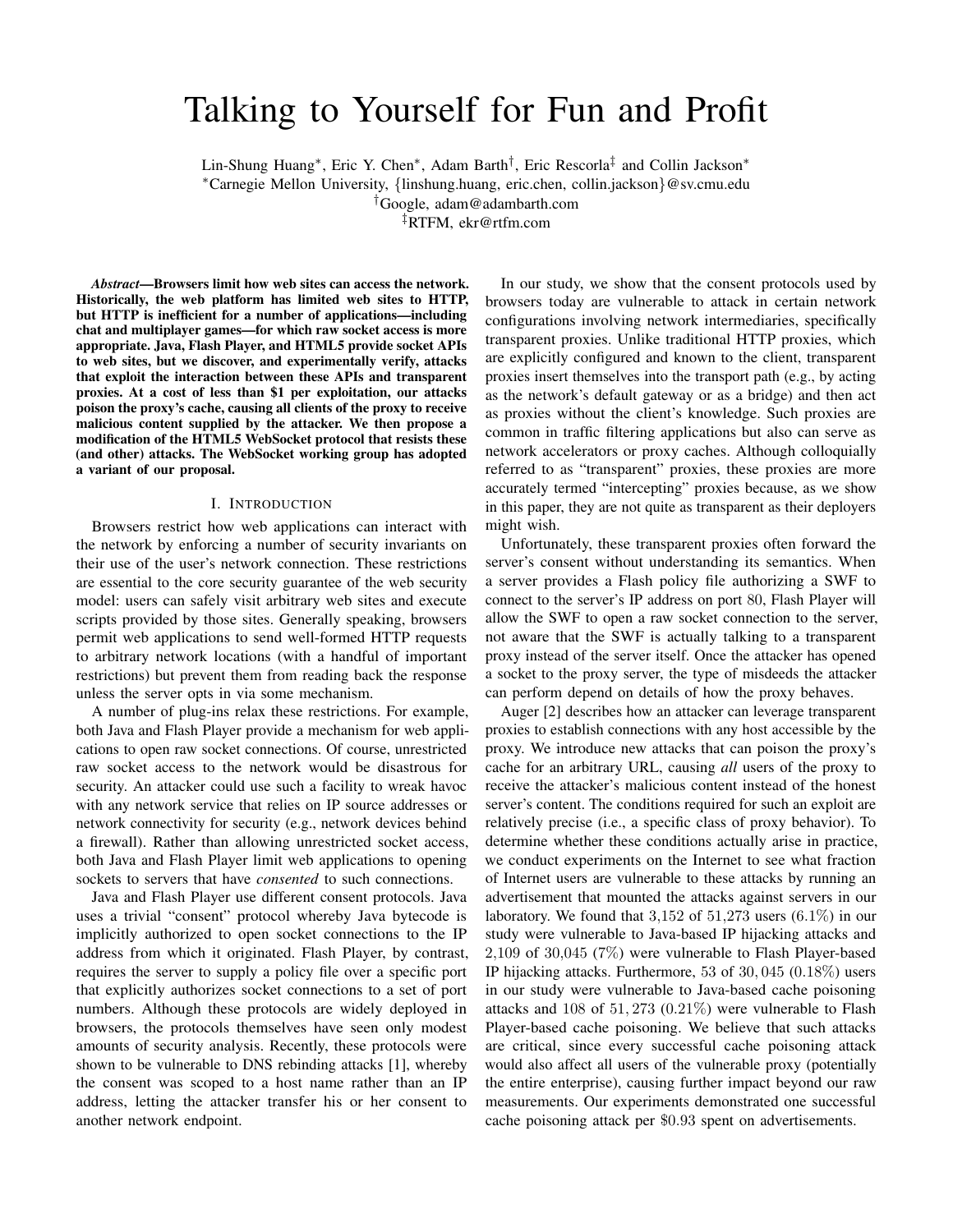# Talking to Yourself for Fun and Profit

Lin-Shung Huang<sup>∗</sup> , Eric Y. Chen<sup>∗</sup> , Adam Barth† , Eric Rescorla‡ and Collin Jackson<sup>∗</sup>

<sup>∗</sup>Carnegie Mellon University, {linshung.huang, eric.chen, collin.jackson}@sv.cmu.edu

†Google, adam@adambarth.com

‡RTFM, ekr@rtfm.com

*Abstract*—Browsers limit how web sites can access the network. Historically, the web platform has limited web sites to HTTP, but HTTP is inefficient for a number of applications—including chat and multiplayer games—for which raw socket access is more appropriate. Java, Flash Player, and HTML5 provide socket APIs to web sites, but we discover, and experimentally verify, attacks that exploit the interaction between these APIs and transparent proxies. At a cost of less than \$1 per exploitation, our attacks poison the proxy's cache, causing all clients of the proxy to receive malicious content supplied by the attacker. We then propose a modification of the HTML5 WebSocket protocol that resists these (and other) attacks. The WebSocket working group has adopted a variant of our proposal.

#### I. INTRODUCTION

Browsers restrict how web applications can interact with the network by enforcing a number of security invariants on their use of the user's network connection. These restrictions are essential to the core security guarantee of the web security model: users can safely visit arbitrary web sites and execute scripts provided by those sites. Generally speaking, browsers permit web applications to send well-formed HTTP requests to arbitrary network locations (with a handful of important restrictions) but prevent them from reading back the response unless the server opts in via some mechanism.

A number of plug-ins relax these restrictions. For example, both Java and Flash Player provide a mechanism for web applications to open raw socket connections. Of course, unrestricted raw socket access to the network would be disastrous for security. An attacker could use such a facility to wreak havoc with any network service that relies on IP source addresses or network connectivity for security (e.g., network devices behind a firewall). Rather than allowing unrestricted socket access, both Java and Flash Player limit web applications to opening sockets to servers that have *consented* to such connections.

Java and Flash Player use different consent protocols. Java uses a trivial "consent" protocol whereby Java bytecode is implicitly authorized to open socket connections to the IP address from which it originated. Flash Player, by contrast, requires the server to supply a policy file over a specific port that explicitly authorizes socket connections to a set of port numbers. Although these protocols are widely deployed in browsers, the protocols themselves have seen only modest amounts of security analysis. Recently, these protocols were shown to be vulnerable to DNS rebinding attacks [1], whereby the consent was scoped to a host name rather than an IP address, letting the attacker transfer his or her consent to another network endpoint.

In our study, we show that the consent protocols used by browsers today are vulnerable to attack in certain network configurations involving network intermediaries, specifically transparent proxies. Unlike traditional HTTP proxies, which are explicitly configured and known to the client, transparent proxies insert themselves into the transport path (e.g., by acting as the network's default gateway or as a bridge) and then act as proxies without the client's knowledge. Such proxies are common in traffic filtering applications but also can serve as network accelerators or proxy caches. Although colloquially referred to as "transparent" proxies, these proxies are more accurately termed "intercepting" proxies because, as we show in this paper, they are not quite as transparent as their deployers might wish.

Unfortunately, these transparent proxies often forward the server's consent without understanding its semantics. When a server provides a Flash policy file authorizing a SWF to connect to the server's IP address on port 80, Flash Player will allow the SWF to open a raw socket connection to the server, not aware that the SWF is actually talking to a transparent proxy instead of the server itself. Once the attacker has opened a socket to the proxy server, the type of misdeeds the attacker can perform depend on details of how the proxy behaves.

Auger [2] describes how an attacker can leverage transparent proxies to establish connections with any host accessible by the proxy. We introduce new attacks that can poison the proxy's cache for an arbitrary URL, causing *all* users of the proxy to receive the attacker's malicious content instead of the honest server's content. The conditions required for such an exploit are relatively precise (i.e., a specific class of proxy behavior). To determine whether these conditions actually arise in practice, we conduct experiments on the Internet to see what fraction of Internet users are vulnerable to these attacks by running an advertisement that mounted the attacks against servers in our laboratory. We found that  $3,152$  of  $51,273$  users  $(6.1\%)$  in our study were vulnerable to Java-based IP hijacking attacks and 2,109 of 30,045 (7%) were vulnerable to Flash Player-based IP hijacking attacks. Furthermore, 53 of 30, 045 (0.18%) users in our study were vulnerable to Java-based cache poisoning attacks and 108 of 51, 273 (0.21%) were vulnerable to Flash Player-based cache poisoning. We believe that such attacks are critical, since every successful cache poisoning attack would also affect all users of the vulnerable proxy (potentially the entire enterprise), causing further impact beyond our raw measurements. Our experiments demonstrated one successful cache poisoning attack per \$0.93 spent on advertisements.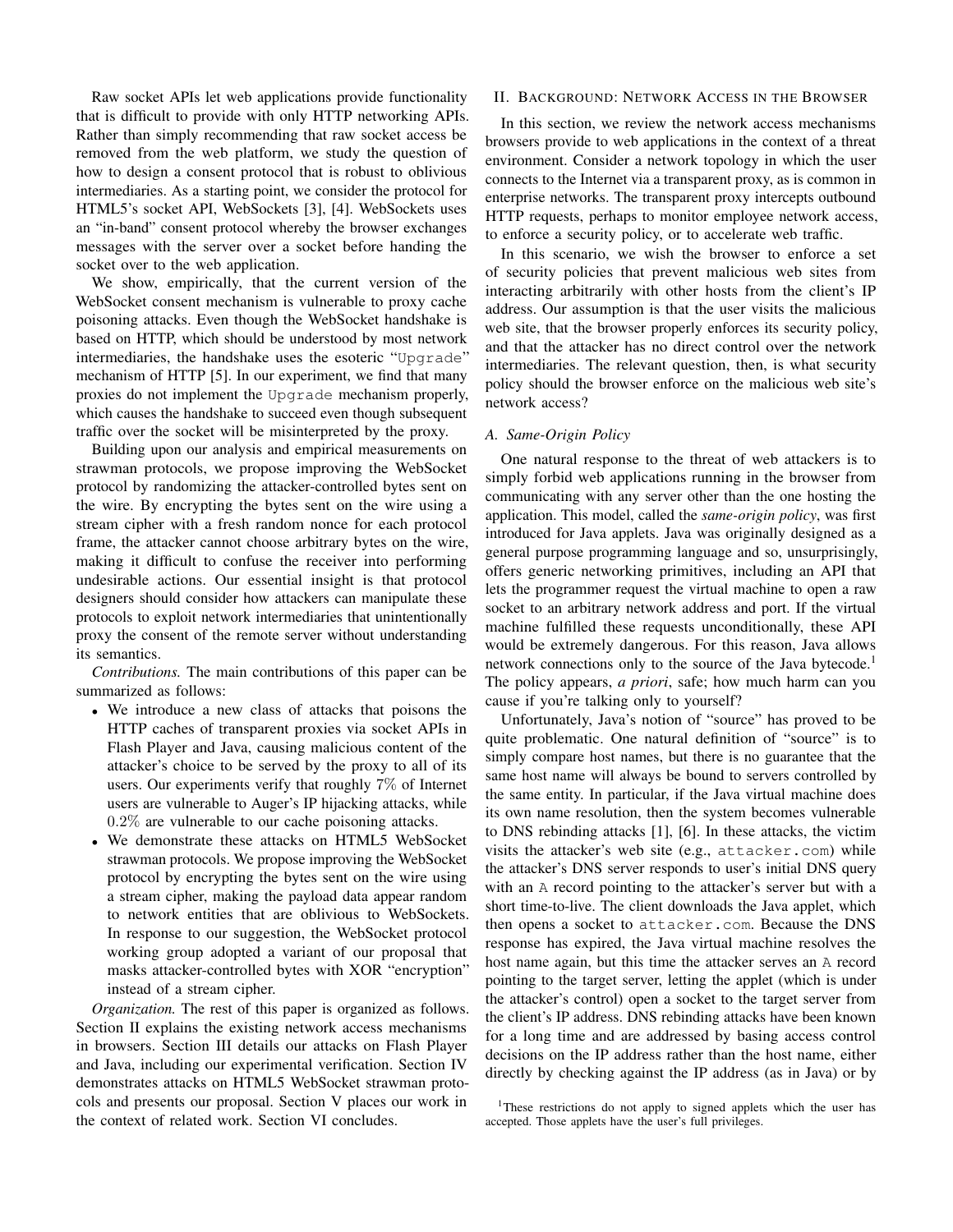Raw socket APIs let web applications provide functionality that is difficult to provide with only HTTP networking APIs. Rather than simply recommending that raw socket access be removed from the web platform, we study the question of how to design a consent protocol that is robust to oblivious intermediaries. As a starting point, we consider the protocol for HTML5's socket API, WebSockets [3], [4]. WebSockets uses an "in-band" consent protocol whereby the browser exchanges messages with the server over a socket before handing the socket over to the web application.

We show, empirically, that the current version of the WebSocket consent mechanism is vulnerable to proxy cache poisoning attacks. Even though the WebSocket handshake is based on HTTP, which should be understood by most network intermediaries, the handshake uses the esoteric "Upgrade" mechanism of HTTP [5]. In our experiment, we find that many proxies do not implement the Upgrade mechanism properly, which causes the handshake to succeed even though subsequent traffic over the socket will be misinterpreted by the proxy.

Building upon our analysis and empirical measurements on strawman protocols, we propose improving the WebSocket protocol by randomizing the attacker-controlled bytes sent on the wire. By encrypting the bytes sent on the wire using a stream cipher with a fresh random nonce for each protocol frame, the attacker cannot choose arbitrary bytes on the wire, making it difficult to confuse the receiver into performing undesirable actions. Our essential insight is that protocol designers should consider how attackers can manipulate these protocols to exploit network intermediaries that unintentionally proxy the consent of the remote server without understanding its semantics.

*Contributions.* The main contributions of this paper can be summarized as follows:

- We introduce a new class of attacks that poisons the HTTP caches of transparent proxies via socket APIs in Flash Player and Java, causing malicious content of the attacker's choice to be served by the proxy to all of its users. Our experiments verify that roughly 7% of Internet users are vulnerable to Auger's IP hijacking attacks, while 0.2% are vulnerable to our cache poisoning attacks.
- We demonstrate these attacks on HTML5 WebSocket strawman protocols. We propose improving the WebSocket protocol by encrypting the bytes sent on the wire using a stream cipher, making the payload data appear random to network entities that are oblivious to WebSockets. In response to our suggestion, the WebSocket protocol working group adopted a variant of our proposal that masks attacker-controlled bytes with XOR "encryption" instead of a stream cipher.

*Organization.* The rest of this paper is organized as follows. Section II explains the existing network access mechanisms in browsers. Section III details our attacks on Flash Player and Java, including our experimental verification. Section IV demonstrates attacks on HTML5 WebSocket strawman protocols and presents our proposal. Section V places our work in the context of related work. Section VI concludes.

#### II. BACKGROUND: NETWORK ACCESS IN THE BROWSER

In this section, we review the network access mechanisms browsers provide to web applications in the context of a threat environment. Consider a network topology in which the user connects to the Internet via a transparent proxy, as is common in enterprise networks. The transparent proxy intercepts outbound HTTP requests, perhaps to monitor employee network access, to enforce a security policy, or to accelerate web traffic.

In this scenario, we wish the browser to enforce a set of security policies that prevent malicious web sites from interacting arbitrarily with other hosts from the client's IP address. Our assumption is that the user visits the malicious web site, that the browser properly enforces its security policy, and that the attacker has no direct control over the network intermediaries. The relevant question, then, is what security policy should the browser enforce on the malicious web site's network access?

#### *A. Same-Origin Policy*

One natural response to the threat of web attackers is to simply forbid web applications running in the browser from communicating with any server other than the one hosting the application. This model, called the *same-origin policy*, was first introduced for Java applets. Java was originally designed as a general purpose programming language and so, unsurprisingly, offers generic networking primitives, including an API that lets the programmer request the virtual machine to open a raw socket to an arbitrary network address and port. If the virtual machine fulfilled these requests unconditionally, these API would be extremely dangerous. For this reason, Java allows network connections only to the source of the Java bytecode.<sup>1</sup> The policy appears, *a priori*, safe; how much harm can you cause if you're talking only to yourself?

Unfortunately, Java's notion of "source" has proved to be quite problematic. One natural definition of "source" is to simply compare host names, but there is no guarantee that the same host name will always be bound to servers controlled by the same entity. In particular, if the Java virtual machine does its own name resolution, then the system becomes vulnerable to DNS rebinding attacks [1], [6]. In these attacks, the victim visits the attacker's web site (e.g., attacker.com) while the attacker's DNS server responds to user's initial DNS query with an A record pointing to the attacker's server but with a short time-to-live. The client downloads the Java applet, which then opens a socket to attacker.com. Because the DNS response has expired, the Java virtual machine resolves the host name again, but this time the attacker serves an A record pointing to the target server, letting the applet (which is under the attacker's control) open a socket to the target server from the client's IP address. DNS rebinding attacks have been known for a long time and are addressed by basing access control decisions on the IP address rather than the host name, either directly by checking against the IP address (as in Java) or by

<sup>&</sup>lt;sup>1</sup>These restrictions do not apply to signed applets which the user has accepted. Those applets have the user's full privileges.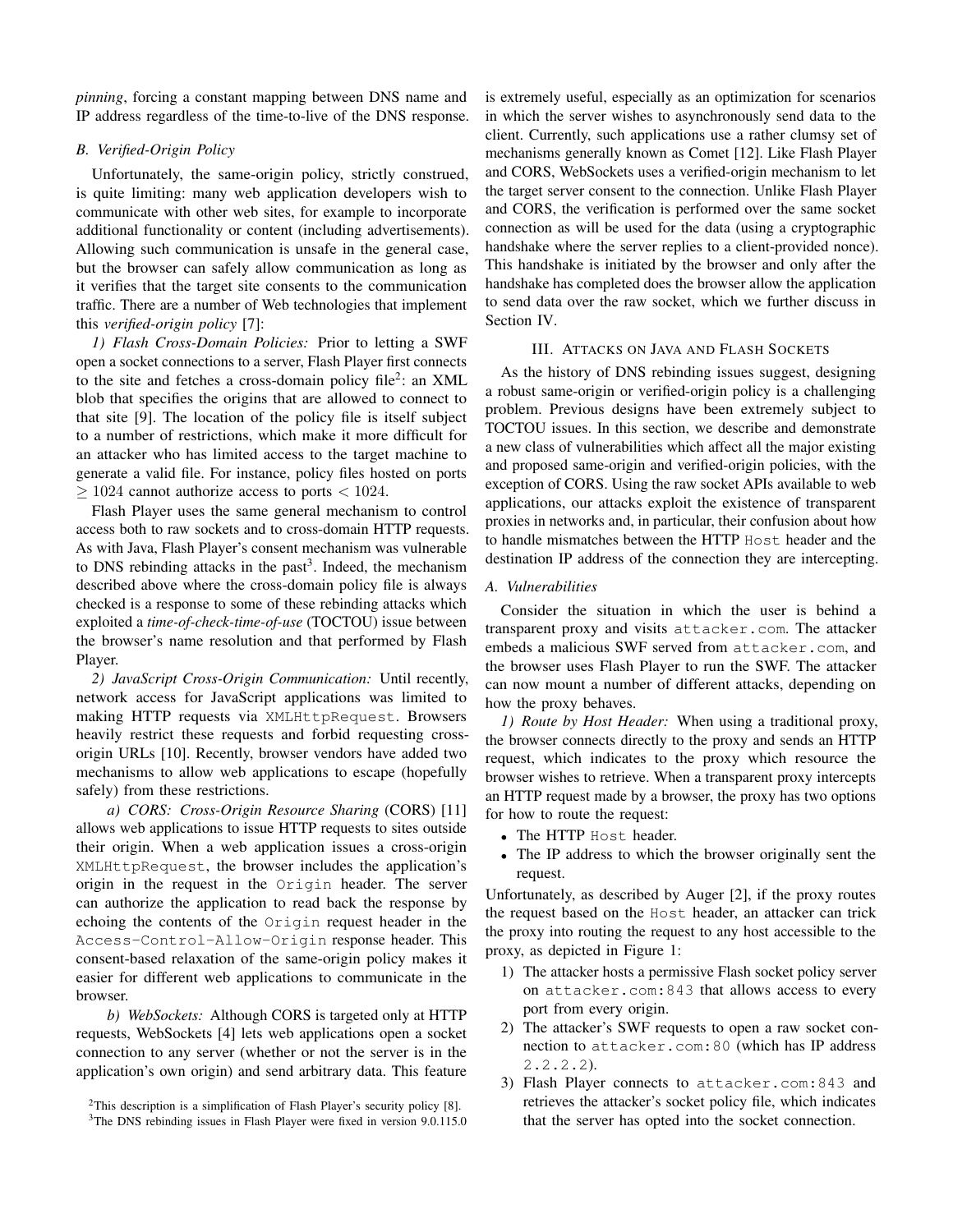*pinning*, forcing a constant mapping between DNS name and IP address regardless of the time-to-live of the DNS response.

# *B. Verified-Origin Policy*

Unfortunately, the same-origin policy, strictly construed, is quite limiting: many web application developers wish to communicate with other web sites, for example to incorporate additional functionality or content (including advertisements). Allowing such communication is unsafe in the general case, but the browser can safely allow communication as long as it verifies that the target site consents to the communication traffic. There are a number of Web technologies that implement this *verified-origin policy* [7]:

*1) Flash Cross-Domain Policies:* Prior to letting a SWF open a socket connections to a server, Flash Player first connects to the site and fetches a cross-domain policy file<sup>2</sup>: an XML blob that specifies the origins that are allowed to connect to that site [9]. The location of the policy file is itself subject to a number of restrictions, which make it more difficult for an attacker who has limited access to the target machine to generate a valid file. For instance, policy files hosted on ports  $>$  1024 cannot authorize access to ports  $<$  1024.

Flash Player uses the same general mechanism to control access both to raw sockets and to cross-domain HTTP requests. As with Java, Flash Player's consent mechanism was vulnerable to DNS rebinding attacks in the past<sup>3</sup>. Indeed, the mechanism described above where the cross-domain policy file is always checked is a response to some of these rebinding attacks which exploited a *time-of-check-time-of-use* (TOCTOU) issue between the browser's name resolution and that performed by Flash Player.

*2) JavaScript Cross-Origin Communication:* Until recently, network access for JavaScript applications was limited to making HTTP requests via XMLHttpRequest. Browsers heavily restrict these requests and forbid requesting crossorigin URLs [10]. Recently, browser vendors have added two mechanisms to allow web applications to escape (hopefully safely) from these restrictions.

*a) CORS: Cross-Origin Resource Sharing* (CORS) [11] allows web applications to issue HTTP requests to sites outside their origin. When a web application issues a cross-origin XMLHttpRequest, the browser includes the application's origin in the request in the Origin header. The server can authorize the application to read back the response by echoing the contents of the Origin request header in the Access-Control-Allow-Origin response header. This consent-based relaxation of the same-origin policy makes it easier for different web applications to communicate in the browser.

*b) WebSockets:* Although CORS is targeted only at HTTP requests, WebSockets [4] lets web applications open a socket connection to any server (whether or not the server is in the application's own origin) and send arbitrary data. This feature is extremely useful, especially as an optimization for scenarios in which the server wishes to asynchronously send data to the client. Currently, such applications use a rather clumsy set of mechanisms generally known as Comet [12]. Like Flash Player and CORS, WebSockets uses a verified-origin mechanism to let the target server consent to the connection. Unlike Flash Player and CORS, the verification is performed over the same socket connection as will be used for the data (using a cryptographic handshake where the server replies to a client-provided nonce). This handshake is initiated by the browser and only after the handshake has completed does the browser allow the application to send data over the raw socket, which we further discuss in Section IV.

## III. ATTACKS ON JAVA AND FLASH SOCKETS

As the history of DNS rebinding issues suggest, designing a robust same-origin or verified-origin policy is a challenging problem. Previous designs have been extremely subject to TOCTOU issues. In this section, we describe and demonstrate a new class of vulnerabilities which affect all the major existing and proposed same-origin and verified-origin policies, with the exception of CORS. Using the raw socket APIs available to web applications, our attacks exploit the existence of transparent proxies in networks and, in particular, their confusion about how to handle mismatches between the HTTP Host header and the destination IP address of the connection they are intercepting.

*A. Vulnerabilities*

Consider the situation in which the user is behind a transparent proxy and visits attacker.com. The attacker embeds a malicious SWF served from attacker.com, and the browser uses Flash Player to run the SWF. The attacker can now mount a number of different attacks, depending on how the proxy behaves.

*1) Route by Host Header:* When using a traditional proxy, the browser connects directly to the proxy and sends an HTTP request, which indicates to the proxy which resource the browser wishes to retrieve. When a transparent proxy intercepts an HTTP request made by a browser, the proxy has two options for how to route the request:

- The HTTP Host header.
- The IP address to which the browser originally sent the request.

Unfortunately, as described by Auger [2], if the proxy routes the request based on the Host header, an attacker can trick the proxy into routing the request to any host accessible to the proxy, as depicted in Figure 1:

- 1) The attacker hosts a permissive Flash socket policy server on attacker.com:843 that allows access to every port from every origin.
- 2) The attacker's SWF requests to open a raw socket connection to attacker.com:80 (which has IP address 2.2.2.2).
- 3) Flash Player connects to attacker.com:843 and retrieves the attacker's socket policy file, which indicates that the server has opted into the socket connection.

<sup>&</sup>lt;sup>2</sup>This description is a simplification of Flash Player's security policy [8].

<sup>&</sup>lt;sup>3</sup>The DNS rebinding issues in Flash Player were fixed in version 9.0.115.0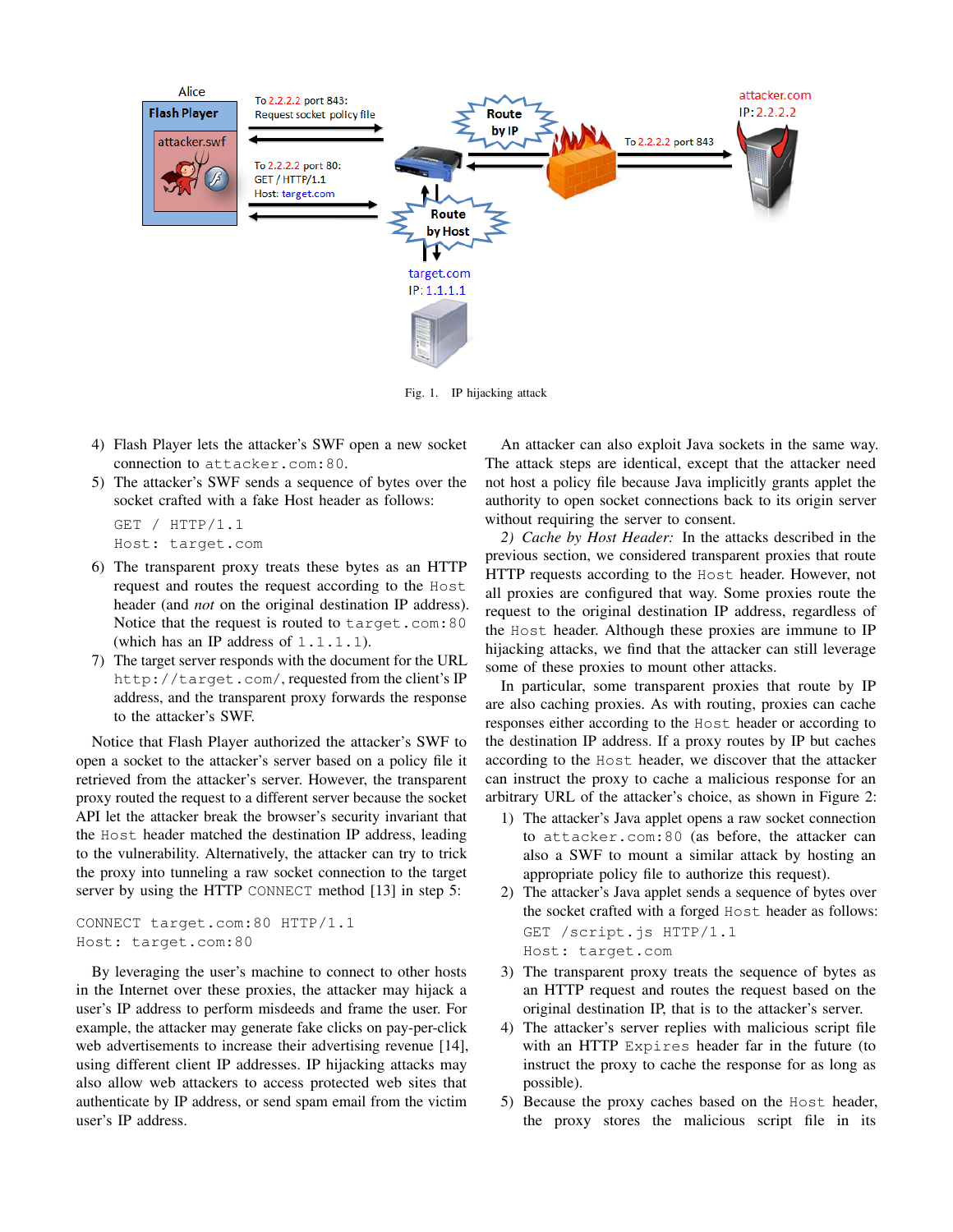

Fig. 1. IP hijacking attack

- 4) Flash Player lets the attacker's SWF open a new socket connection to attacker.com:80.
- 5) The attacker's SWF sends a sequence of bytes over the socket crafted with a fake Host header as follows:

GET / HTTP/1.1 Host: target.com

- 6) The transparent proxy treats these bytes as an HTTP request and routes the request according to the Host header (and *not* on the original destination IP address). Notice that the request is routed to target.com:80 (which has an IP address of  $1.1.1.1$ ).
- 7) The target server responds with the document for the URL http://target.com/, requested from the client's IP address, and the transparent proxy forwards the response to the attacker's SWF.

Notice that Flash Player authorized the attacker's SWF to open a socket to the attacker's server based on a policy file it retrieved from the attacker's server. However, the transparent proxy routed the request to a different server because the socket API let the attacker break the browser's security invariant that the Host header matched the destination IP address, leading to the vulnerability. Alternatively, the attacker can try to trick the proxy into tunneling a raw socket connection to the target server by using the HTTP CONNECT method [13] in step 5:

```
CONNECT target.com:80 HTTP/1.1
Host: target.com:80
```
By leveraging the user's machine to connect to other hosts in the Internet over these proxies, the attacker may hijack a user's IP address to perform misdeeds and frame the user. For example, the attacker may generate fake clicks on pay-per-click web advertisements to increase their advertising revenue [14], using different client IP addresses. IP hijacking attacks may also allow web attackers to access protected web sites that authenticate by IP address, or send spam email from the victim user's IP address.

An attacker can also exploit Java sockets in the same way. The attack steps are identical, except that the attacker need not host a policy file because Java implicitly grants applet the authority to open socket connections back to its origin server without requiring the server to consent.

*2) Cache by Host Header:* In the attacks described in the previous section, we considered transparent proxies that route HTTP requests according to the Host header. However, not all proxies are configured that way. Some proxies route the request to the original destination IP address, regardless of the Host header. Although these proxies are immune to IP hijacking attacks, we find that the attacker can still leverage some of these proxies to mount other attacks.

In particular, some transparent proxies that route by IP are also caching proxies. As with routing, proxies can cache responses either according to the Host header or according to the destination IP address. If a proxy routes by IP but caches according to the Host header, we discover that the attacker can instruct the proxy to cache a malicious response for an arbitrary URL of the attacker's choice, as shown in Figure 2:

- 1) The attacker's Java applet opens a raw socket connection to attacker.com:80 (as before, the attacker can also a SWF to mount a similar attack by hosting an appropriate policy file to authorize this request).
- 2) The attacker's Java applet sends a sequence of bytes over the socket crafted with a forged Host header as follows: GET /script.js HTTP/1.1 Host: target.com
- 3) The transparent proxy treats the sequence of bytes as an HTTP request and routes the request based on the original destination IP, that is to the attacker's server.
- 4) The attacker's server replies with malicious script file with an HTTP Expires header far in the future (to instruct the proxy to cache the response for as long as possible).
- 5) Because the proxy caches based on the Host header, the proxy stores the malicious script file in its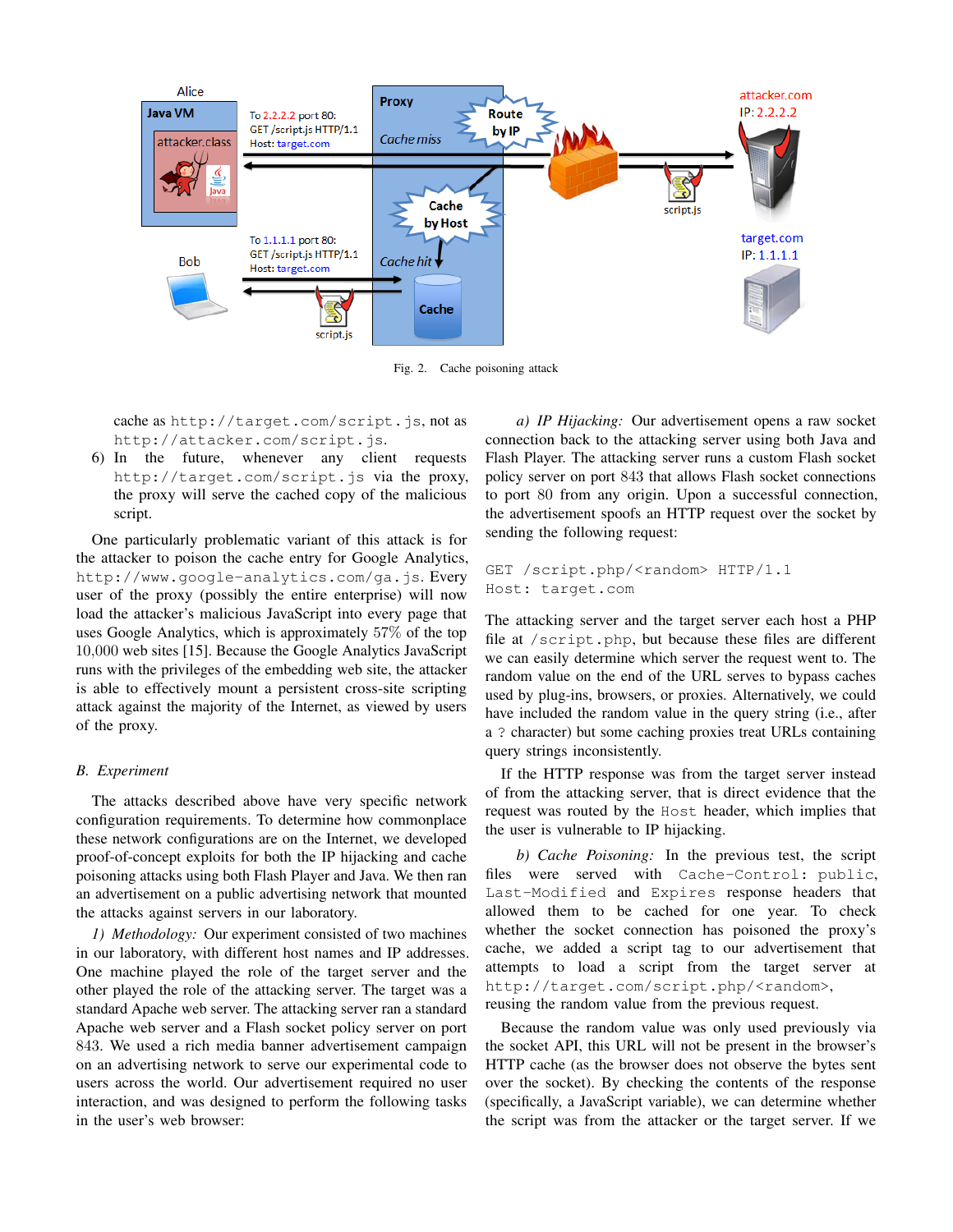

Fig. 2. Cache poisoning attack

cache as http://target.com/script.js, not as http://attacker.com/script.js.

6) In the future, whenever any client requests http://target.com/script.js via the proxy, the proxy will serve the cached copy of the malicious script.

One particularly problematic variant of this attack is for the attacker to poison the cache entry for Google Analytics, http://www.google-analytics.com/ga.js. Every user of the proxy (possibly the entire enterprise) will now load the attacker's malicious JavaScript into every page that uses Google Analytics, which is approximately 57% of the top 10,000 web sites [15]. Because the Google Analytics JavaScript runs with the privileges of the embedding web site, the attacker is able to effectively mount a persistent cross-site scripting attack against the majority of the Internet, as viewed by users of the proxy.

## *B. Experiment*

The attacks described above have very specific network configuration requirements. To determine how commonplace these network configurations are on the Internet, we developed proof-of-concept exploits for both the IP hijacking and cache poisoning attacks using both Flash Player and Java. We then ran an advertisement on a public advertising network that mounted the attacks against servers in our laboratory.

*1) Methodology:* Our experiment consisted of two machines in our laboratory, with different host names and IP addresses. One machine played the role of the target server and the other played the role of the attacking server. The target was a standard Apache web server. The attacking server ran a standard Apache web server and a Flash socket policy server on port 843. We used a rich media banner advertisement campaign on an advertising network to serve our experimental code to users across the world. Our advertisement required no user interaction, and was designed to perform the following tasks in the user's web browser:

*a) IP Hijacking:* Our advertisement opens a raw socket connection back to the attacking server using both Java and Flash Player. The attacking server runs a custom Flash socket policy server on port 843 that allows Flash socket connections to port 80 from any origin. Upon a successful connection, the advertisement spoofs an HTTP request over the socket by sending the following request:

```
GET /script.php/<random> HTTP/1.1
Host: target.com
```
The attacking server and the target server each host a PHP file at /script.php, but because these files are different we can easily determine which server the request went to. The random value on the end of the URL serves to bypass caches used by plug-ins, browsers, or proxies. Alternatively, we could have included the random value in the query string (i.e., after a ? character) but some caching proxies treat URLs containing query strings inconsistently.

If the HTTP response was from the target server instead of from the attacking server, that is direct evidence that the request was routed by the Host header, which implies that the user is vulnerable to IP hijacking.

*b) Cache Poisoning:* In the previous test, the script files were served with Cache-Control: public, Last-Modified and Expires response headers that allowed them to be cached for one year. To check whether the socket connection has poisoned the proxy's cache, we added a script tag to our advertisement that attempts to load a script from the target server at http://target.com/script.php/<random>, reusing the random value from the previous request.

Because the random value was only used previously via the socket API, this URL will not be present in the browser's HTTP cache (as the browser does not observe the bytes sent over the socket). By checking the contents of the response (specifically, a JavaScript variable), we can determine whether the script was from the attacker or the target server. If we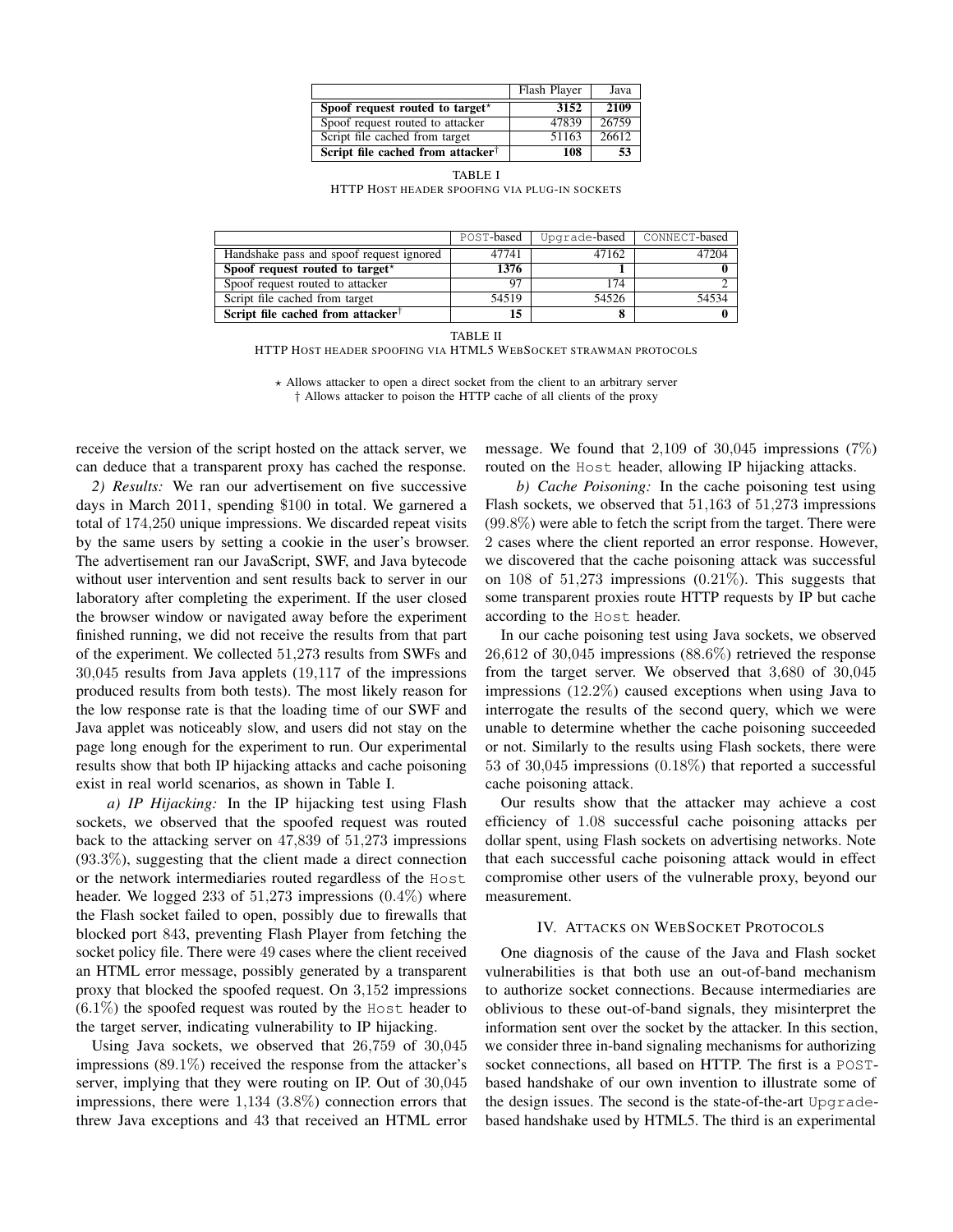|                                               | Flash Player | Java  |
|-----------------------------------------------|--------------|-------|
| Spoof request routed to target*               | 3152         | 2109  |
| Spoof request routed to attacker              | 47839        | 26759 |
| Script file cached from target                | 51163        | 26612 |
| Script file cached from attacker <sup>†</sup> | 108          | 53    |

TABLE I HTTP HOST HEADER SPOOFING VIA PLUG-IN SOCKETS

|                                               | POST-based | Upgrade-based | CONNECT-based |
|-----------------------------------------------|------------|---------------|---------------|
| Handshake pass and spoof request ignored      | 47741      | 47162         | . 1204        |
| Spoof request routed to target*               | 1376       |               |               |
| Spoof request routed to attacker              |            | 174           |               |
| Script file cached from target                | 54519      | 54526         | 54534         |
| Script file cached from attacker <sup>†</sup> |            |               |               |

TABLE II

HTTP HOST HEADER SPOOFING VIA HTML5 WEBSOCKET STRAWMAN PROTOCOLS

 $\star$  Allows attacker to open a direct socket from the client to an arbitrary server † Allows attacker to poison the HTTP cache of all clients of the proxy

receive the version of the script hosted on the attack server, we can deduce that a transparent proxy has cached the response.

*2) Results:* We ran our advertisement on five successive days in March 2011, spending \$100 in total. We garnered a total of 174,250 unique impressions. We discarded repeat visits by the same users by setting a cookie in the user's browser. The advertisement ran our JavaScript, SWF, and Java bytecode without user intervention and sent results back to server in our laboratory after completing the experiment. If the user closed the browser window or navigated away before the experiment finished running, we did not receive the results from that part of the experiment. We collected 51,273 results from SWFs and 30,045 results from Java applets (19,117 of the impressions produced results from both tests). The most likely reason for the low response rate is that the loading time of our SWF and Java applet was noticeably slow, and users did not stay on the page long enough for the experiment to run. Our experimental results show that both IP hijacking attacks and cache poisoning exist in real world scenarios, as shown in Table I.

*a) IP Hijacking:* In the IP hijacking test using Flash sockets, we observed that the spoofed request was routed back to the attacking server on 47,839 of 51,273 impressions (93.3%), suggesting that the client made a direct connection or the network intermediaries routed regardless of the Host header. We logged 233 of  $51,273$  impressions  $(0.4\%)$  where the Flash socket failed to open, possibly due to firewalls that blocked port 843, preventing Flash Player from fetching the socket policy file. There were 49 cases where the client received an HTML error message, possibly generated by a transparent proxy that blocked the spoofed request. On 3,152 impressions  $(6.1\%)$  the spoofed request was routed by the Host header to the target server, indicating vulnerability to IP hijacking.

Using Java sockets, we observed that 26,759 of 30,045 impressions (89.1%) received the response from the attacker's server, implying that they were routing on IP. Out of 30,045 impressions, there were 1,134 (3.8%) connection errors that threw Java exceptions and 43 that received an HTML error

message. We found that 2,109 of 30,045 impressions (7%) routed on the Host header, allowing IP hijacking attacks.

*b) Cache Poisoning:* In the cache poisoning test using Flash sockets, we observed that 51,163 of 51,273 impressions (99.8%) were able to fetch the script from the target. There were 2 cases where the client reported an error response. However, we discovered that the cache poisoning attack was successful on 108 of 51,273 impressions (0.21%). This suggests that some transparent proxies route HTTP requests by IP but cache according to the Host header.

In our cache poisoning test using Java sockets, we observed 26,612 of 30,045 impressions (88.6%) retrieved the response from the target server. We observed that 3,680 of 30,045 impressions (12.2%) caused exceptions when using Java to interrogate the results of the second query, which we were unable to determine whether the cache poisoning succeeded or not. Similarly to the results using Flash sockets, there were 53 of 30,045 impressions (0.18%) that reported a successful cache poisoning attack.

Our results show that the attacker may achieve a cost efficiency of 1.08 successful cache poisoning attacks per dollar spent, using Flash sockets on advertising networks. Note that each successful cache poisoning attack would in effect compromise other users of the vulnerable proxy, beyond our measurement.

#### IV. ATTACKS ON WEBSOCKET PROTOCOLS

One diagnosis of the cause of the Java and Flash socket vulnerabilities is that both use an out-of-band mechanism to authorize socket connections. Because intermediaries are oblivious to these out-of-band signals, they misinterpret the information sent over the socket by the attacker. In this section, we consider three in-band signaling mechanisms for authorizing socket connections, all based on HTTP. The first is a POSTbased handshake of our own invention to illustrate some of the design issues. The second is the state-of-the-art Upgradebased handshake used by HTML5. The third is an experimental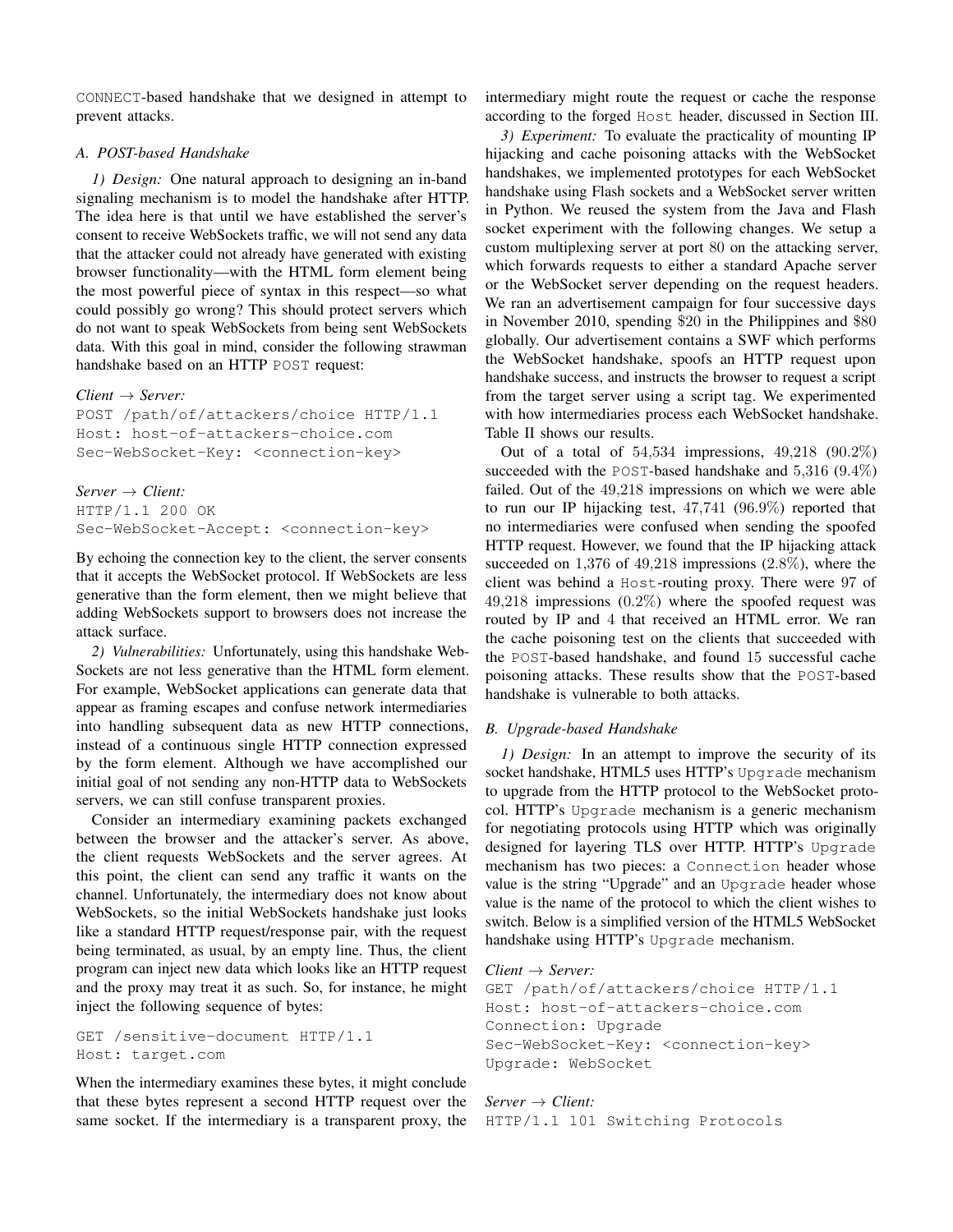CONNECT-based handshake that we designed in attempt to prevent attacks.

#### *A. POST-based Handshake*

*1) Design:* One natural approach to designing an in-band signaling mechanism is to model the handshake after HTTP. The idea here is that until we have established the server's consent to receive WebSockets traffic, we will not send any data that the attacker could not already have generated with existing browser functionality—with the HTML form element being the most powerful piece of syntax in this respect—so what could possibly go wrong? This should protect servers which do not want to speak WebSockets from being sent WebSockets data. With this goal in mind, consider the following strawman handshake based on an HTTP POST request:

*Client* → *Server:*

POST /path/of/attackers/choice HTTP/1.1 Host: host-of-attackers-choice.com Sec-WebSocket-Key: <connection-key>

# *Server* → *Client:*

HTTP/1.1 200 OK Sec-WebSocket-Accept: <connection-key>

By echoing the connection key to the client, the server consents that it accepts the WebSocket protocol. If WebSockets are less generative than the form element, then we might believe that adding WebSockets support to browsers does not increase the attack surface.

*2) Vulnerabilities:* Unfortunately, using this handshake Web-Sockets are not less generative than the HTML form element. For example, WebSocket applications can generate data that appear as framing escapes and confuse network intermediaries into handling subsequent data as new HTTP connections, instead of a continuous single HTTP connection expressed by the form element. Although we have accomplished our initial goal of not sending any non-HTTP data to WebSockets servers, we can still confuse transparent proxies.

Consider an intermediary examining packets exchanged between the browser and the attacker's server. As above, the client requests WebSockets and the server agrees. At this point, the client can send any traffic it wants on the channel. Unfortunately, the intermediary does not know about WebSockets, so the initial WebSockets handshake just looks like a standard HTTP request/response pair, with the request being terminated, as usual, by an empty line. Thus, the client program can inject new data which looks like an HTTP request and the proxy may treat it as such. So, for instance, he might inject the following sequence of bytes:

GET /sensitive-document HTTP/1.1 Host: target.com

When the intermediary examines these bytes, it might conclude that these bytes represent a second HTTP request over the same socket. If the intermediary is a transparent proxy, the intermediary might route the request or cache the response according to the forged Host header, discussed in Section III.

*3) Experiment:* To evaluate the practicality of mounting IP hijacking and cache poisoning attacks with the WebSocket handshakes, we implemented prototypes for each WebSocket handshake using Flash sockets and a WebSocket server written in Python. We reused the system from the Java and Flash socket experiment with the following changes. We setup a custom multiplexing server at port 80 on the attacking server, which forwards requests to either a standard Apache server or the WebSocket server depending on the request headers. We ran an advertisement campaign for four successive days in November 2010, spending \$20 in the Philippines and \$80 globally. Our advertisement contains a SWF which performs the WebSocket handshake, spoofs an HTTP request upon handshake success, and instructs the browser to request a script from the target server using a script tag. We experimented with how intermediaries process each WebSocket handshake. Table II shows our results.

Out of a total of 54,534 impressions, 49,218 (90.2%) succeeded with the POST-based handshake and  $5,316$  (9.4%) failed. Out of the 49,218 impressions on which we were able to run our IP hijacking test, 47,741 (96.9%) reported that no intermediaries were confused when sending the spoofed HTTP request. However, we found that the IP hijacking attack succeeded on 1,376 of 49,218 impressions (2.8%), where the client was behind a Host-routing proxy. There were 97 of 49,218 impressions (0.2%) where the spoofed request was routed by IP and 4 that received an HTML error. We ran the cache poisoning test on the clients that succeeded with the POST-based handshake, and found 15 successful cache poisoning attacks. These results show that the POST-based handshake is vulnerable to both attacks.

## *B. Upgrade-based Handshake*

*1) Design:* In an attempt to improve the security of its socket handshake, HTML5 uses HTTP's Upgrade mechanism to upgrade from the HTTP protocol to the WebSocket protocol. HTTP's Upgrade mechanism is a generic mechanism for negotiating protocols using HTTP which was originally designed for layering TLS over HTTP. HTTP's Upgrade mechanism has two pieces: a Connection header whose value is the string "Upgrade" and an Upgrade header whose value is the name of the protocol to which the client wishes to switch. Below is a simplified version of the HTML5 WebSocket handshake using HTTP's Upgrade mechanism.

## *Client* → *Server:*

GET /path/of/attackers/choice HTTP/1.1 Host: host-of-attackers-choice.com Connection: Upgrade Sec-WebSocket-Key: <connection-key> Upgrade: WebSocket

# *Server* → *Client:* HTTP/1.1 101 Switching Protocols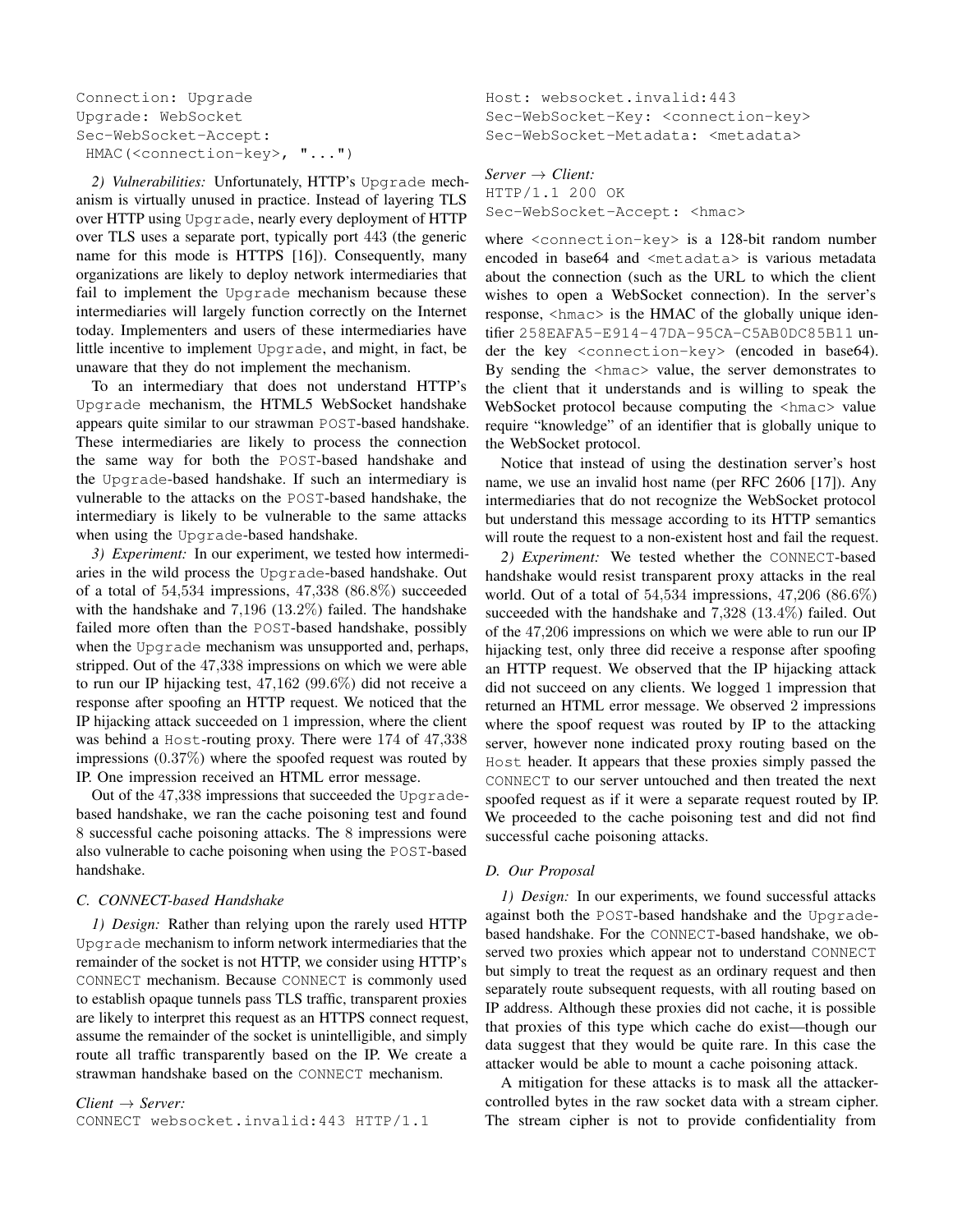```
Connection: Upgrade
Upgrade: WebSocket
Sec-WebSocket-Accept:
 HMAC(<connection-key>, "...")
```
*2) Vulnerabilities:* Unfortunately, HTTP's Upgrade mechanism is virtually unused in practice. Instead of layering TLS over HTTP using Upgrade, nearly every deployment of HTTP over TLS uses a separate port, typically port 443 (the generic name for this mode is HTTPS [16]). Consequently, many organizations are likely to deploy network intermediaries that fail to implement the Upgrade mechanism because these intermediaries will largely function correctly on the Internet today. Implementers and users of these intermediaries have little incentive to implement Upgrade, and might, in fact, be unaware that they do not implement the mechanism.

To an intermediary that does not understand HTTP's Upgrade mechanism, the HTML5 WebSocket handshake appears quite similar to our strawman POST-based handshake. These intermediaries are likely to process the connection the same way for both the POST-based handshake and the Upgrade-based handshake. If such an intermediary is vulnerable to the attacks on the POST-based handshake, the intermediary is likely to be vulnerable to the same attacks when using the Upgrade-based handshake.

*3) Experiment:* In our experiment, we tested how intermediaries in the wild process the Upgrade-based handshake. Out of a total of 54,534 impressions, 47,338 (86.8%) succeeded with the handshake and 7,196 (13.2%) failed. The handshake failed more often than the POST-based handshake, possibly when the Upgrade mechanism was unsupported and, perhaps, stripped. Out of the 47,338 impressions on which we were able to run our IP hijacking test, 47,162 (99.6%) did not receive a response after spoofing an HTTP request. We noticed that the IP hijacking attack succeeded on 1 impression, where the client was behind a Host-routing proxy. There were 174 of 47,338 impressions  $(0.37\%)$  where the spoofed request was routed by IP. One impression received an HTML error message.

Out of the 47,338 impressions that succeeded the Upgradebased handshake, we ran the cache poisoning test and found 8 successful cache poisoning attacks. The 8 impressions were also vulnerable to cache poisoning when using the POST-based handshake.

## *C. CONNECT-based Handshake*

*1) Design:* Rather than relying upon the rarely used HTTP Upgrade mechanism to inform network intermediaries that the remainder of the socket is not HTTP, we consider using HTTP's CONNECT mechanism. Because CONNECT is commonly used to establish opaque tunnels pass TLS traffic, transparent proxies are likely to interpret this request as an HTTPS connect request, assume the remainder of the socket is unintelligible, and simply route all traffic transparently based on the IP. We create a strawman handshake based on the CONNECT mechanism.

*Client* → *Server:* CONNECT websocket.invalid:443 HTTP/1.1 Host: websocket.invalid:443 Sec-WebSocket-Key: <connection-key> Sec-WebSocket-Metadata: <metadata>

*Server* → *Client:* HTTP/1.1 200 OK Sec-WebSocket-Accept: <hmac>

where <connection-key> is a 128-bit random number encoded in base64 and <metadata> is various metadata about the connection (such as the URL to which the client wishes to open a WebSocket connection). In the server's response, <hmac> is the HMAC of the globally unique identifier 258EAFA5-E914-47DA-95CA-C5AB0DC85B11 under the key <connection-key> (encoded in base64). By sending the <hmac> value, the server demonstrates to the client that it understands and is willing to speak the WebSocket protocol because computing the  $\langle$ hmac> value require "knowledge" of an identifier that is globally unique to the WebSocket protocol.

Notice that instead of using the destination server's host name, we use an invalid host name (per RFC 2606 [17]). Any intermediaries that do not recognize the WebSocket protocol but understand this message according to its HTTP semantics will route the request to a non-existent host and fail the request.

*2) Experiment:* We tested whether the CONNECT-based handshake would resist transparent proxy attacks in the real world. Out of a total of 54,534 impressions, 47,206 (86.6%) succeeded with the handshake and 7,328 (13.4%) failed. Out of the 47,206 impressions on which we were able to run our IP hijacking test, only three did receive a response after spoofing an HTTP request. We observed that the IP hijacking attack did not succeed on any clients. We logged 1 impression that returned an HTML error message. We observed 2 impressions where the spoof request was routed by IP to the attacking server, however none indicated proxy routing based on the Host header. It appears that these proxies simply passed the CONNECT to our server untouched and then treated the next spoofed request as if it were a separate request routed by IP. We proceeded to the cache poisoning test and did not find successful cache poisoning attacks.

# *D. Our Proposal*

*1) Design:* In our experiments, we found successful attacks against both the POST-based handshake and the Upgradebased handshake. For the CONNECT-based handshake, we observed two proxies which appear not to understand CONNECT but simply to treat the request as an ordinary request and then separately route subsequent requests, with all routing based on IP address. Although these proxies did not cache, it is possible that proxies of this type which cache do exist—though our data suggest that they would be quite rare. In this case the attacker would be able to mount a cache poisoning attack.

A mitigation for these attacks is to mask all the attackercontrolled bytes in the raw socket data with a stream cipher. The stream cipher is not to provide confidentiality from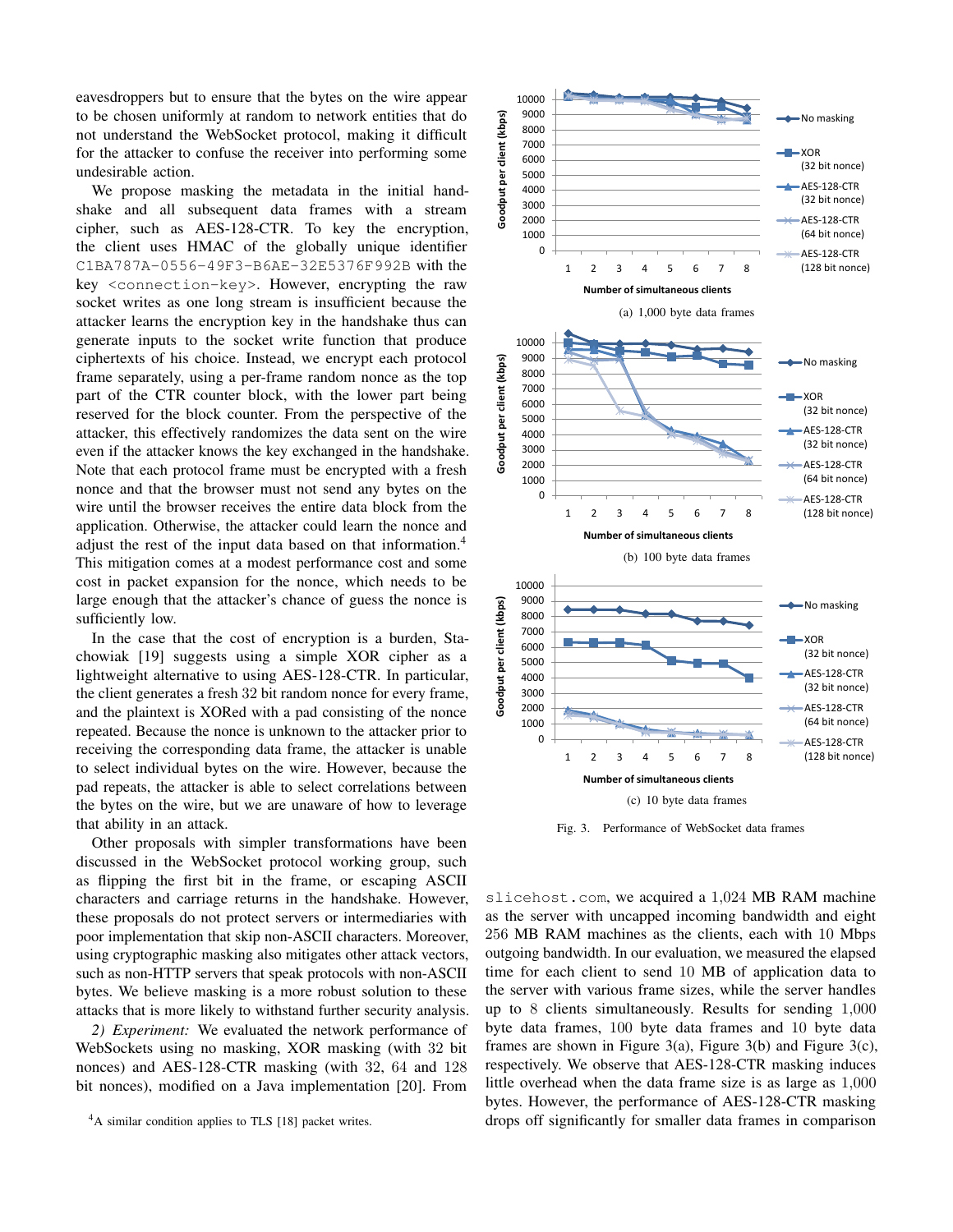eavesdroppers but to ensure that the bytes on the wire appear to be chosen uniformly at random to network entities that do not understand the WebSocket protocol, making it difficult for the attacker to confuse the receiver into performing some undesirable action.

We propose masking the metadata in the initial handshake and all subsequent data frames with a stream cipher, such as AES-128-CTR. To key the encryption, the client uses HMAC of the globally unique identifier C1BA787A-0556-49F3-B6AE-32E5376F992B with the key <connection-key>. However, encrypting the raw socket writes as one long stream is insufficient because the attacker learns the encryption key in the handshake thus can generate inputs to the socket write function that produce ciphertexts of his choice. Instead, we encrypt each protocol frame separately, using a per-frame random nonce as the top part of the CTR counter block, with the lower part being reserved for the block counter. From the perspective of the attacker, this effectively randomizes the data sent on the wire even if the attacker knows the key exchanged in the handshake. Note that each protocol frame must be encrypted with a fresh nonce and that the browser must not send any bytes on the wire until the browser receives the entire data block from the application. Otherwise, the attacker could learn the nonce and adjust the rest of the input data based on that information.<sup>4</sup> This mitigation comes at a modest performance cost and some cost in packet expansion for the nonce, which needs to be large enough that the attacker's chance of guess the nonce is sufficiently low.

In the case that the cost of encryption is a burden, Stachowiak [19] suggests using a simple XOR cipher as a lightweight alternative to using AES-128-CTR. In particular, the client generates a fresh 32 bit random nonce for every frame, and the plaintext is XORed with a pad consisting of the nonce repeated. Because the nonce is unknown to the attacker prior to receiving the corresponding data frame, the attacker is unable to select individual bytes on the wire. However, because the pad repeats, the attacker is able to select correlations between the bytes on the wire, but we are unaware of how to leverage that ability in an attack.

Other proposals with simpler transformations have been discussed in the WebSocket protocol working group, such as flipping the first bit in the frame, or escaping ASCII characters and carriage returns in the handshake. However, these proposals do not protect servers or intermediaries with poor implementation that skip non-ASCII characters. Moreover, using cryptographic masking also mitigates other attack vectors, such as non-HTTP servers that speak protocols with non-ASCII bytes. We believe masking is a more robust solution to these attacks that is more likely to withstand further security analysis.

*2) Experiment:* We evaluated the network performance of WebSockets using no masking, XOR masking (with 32 bit nonces) and AES-128-CTR masking (with 32, 64 and 128 bit nonces), modified on a Java implementation [20]. From

<sup>4</sup>A similar condition applies to TLS [18] packet writes.



Fig. 3. Performance of WebSocket data frames

slicehost.com, we acquired a 1,024 MB RAM machine as the server with uncapped incoming bandwidth and eight 256 MB RAM machines as the clients, each with 10 Mbps outgoing bandwidth. In our evaluation, we measured the elapsed time for each client to send 10 MB of application data to the server with various frame sizes, while the server handles up to 8 clients simultaneously. Results for sending 1,000 byte data frames, 100 byte data frames and 10 byte data frames are shown in Figure 3(a), Figure 3(b) and Figure 3(c), respectively. We observe that AES-128-CTR masking induces little overhead when the data frame size is as large as 1,000 bytes. However, the performance of AES-128-CTR masking drops off significantly for smaller data frames in comparison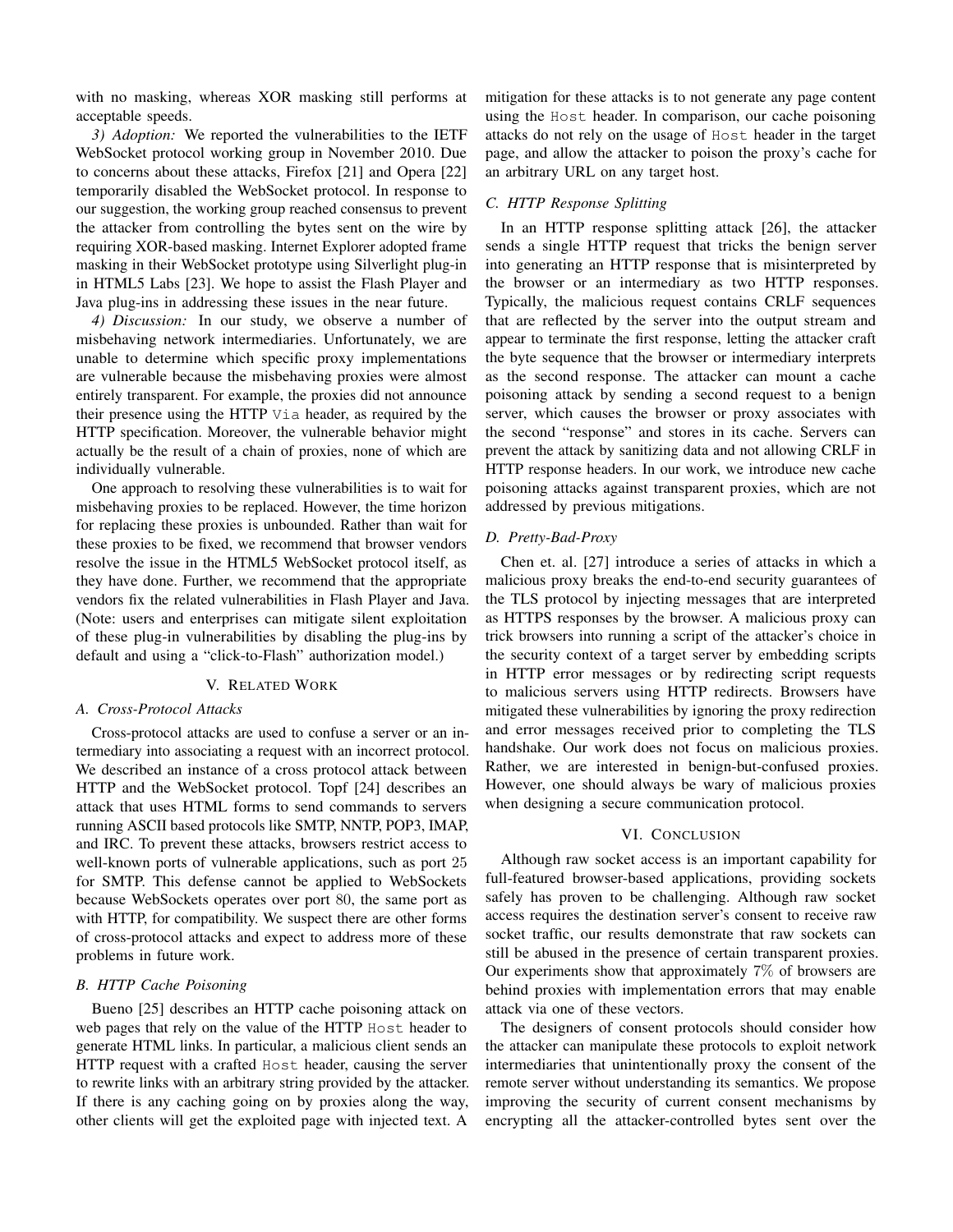with no masking, whereas XOR masking still performs at acceptable speeds.

*3) Adoption:* We reported the vulnerabilities to the IETF WebSocket protocol working group in November 2010. Due to concerns about these attacks, Firefox [21] and Opera [22] temporarily disabled the WebSocket protocol. In response to our suggestion, the working group reached consensus to prevent the attacker from controlling the bytes sent on the wire by requiring XOR-based masking. Internet Explorer adopted frame masking in their WebSocket prototype using Silverlight plug-in in HTML5 Labs [23]. We hope to assist the Flash Player and Java plug-ins in addressing these issues in the near future.

*4) Discussion:* In our study, we observe a number of misbehaving network intermediaries. Unfortunately, we are unable to determine which specific proxy implementations are vulnerable because the misbehaving proxies were almost entirely transparent. For example, the proxies did not announce their presence using the HTTP Via header, as required by the HTTP specification. Moreover, the vulnerable behavior might actually be the result of a chain of proxies, none of which are individually vulnerable.

One approach to resolving these vulnerabilities is to wait for misbehaving proxies to be replaced. However, the time horizon for replacing these proxies is unbounded. Rather than wait for these proxies to be fixed, we recommend that browser vendors resolve the issue in the HTML5 WebSocket protocol itself, as they have done. Further, we recommend that the appropriate vendors fix the related vulnerabilities in Flash Player and Java. (Note: users and enterprises can mitigate silent exploitation of these plug-in vulnerabilities by disabling the plug-ins by default and using a "click-to-Flash" authorization model.)

## V. RELATED WORK

#### *A. Cross-Protocol Attacks*

Cross-protocol attacks are used to confuse a server or an intermediary into associating a request with an incorrect protocol. We described an instance of a cross protocol attack between HTTP and the WebSocket protocol. Topf [24] describes an attack that uses HTML forms to send commands to servers running ASCII based protocols like SMTP, NNTP, POP3, IMAP, and IRC. To prevent these attacks, browsers restrict access to well-known ports of vulnerable applications, such as port 25 for SMTP. This defense cannot be applied to WebSockets because WebSockets operates over port 80, the same port as with HTTP, for compatibility. We suspect there are other forms of cross-protocol attacks and expect to address more of these problems in future work.

## *B. HTTP Cache Poisoning*

Bueno [25] describes an HTTP cache poisoning attack on web pages that rely on the value of the HTTP Host header to generate HTML links. In particular, a malicious client sends an HTTP request with a crafted Host header, causing the server to rewrite links with an arbitrary string provided by the attacker. If there is any caching going on by proxies along the way, other clients will get the exploited page with injected text. A

mitigation for these attacks is to not generate any page content using the Host header. In comparison, our cache poisoning attacks do not rely on the usage of Host header in the target page, and allow the attacker to poison the proxy's cache for an arbitrary URL on any target host.

## *C. HTTP Response Splitting*

In an HTTP response splitting attack [26], the attacker sends a single HTTP request that tricks the benign server into generating an HTTP response that is misinterpreted by the browser or an intermediary as two HTTP responses. Typically, the malicious request contains CRLF sequences that are reflected by the server into the output stream and appear to terminate the first response, letting the attacker craft the byte sequence that the browser or intermediary interprets as the second response. The attacker can mount a cache poisoning attack by sending a second request to a benign server, which causes the browser or proxy associates with the second "response" and stores in its cache. Servers can prevent the attack by sanitizing data and not allowing CRLF in HTTP response headers. In our work, we introduce new cache poisoning attacks against transparent proxies, which are not addressed by previous mitigations.

## *D. Pretty-Bad-Proxy*

Chen et. al. [27] introduce a series of attacks in which a malicious proxy breaks the end-to-end security guarantees of the TLS protocol by injecting messages that are interpreted as HTTPS responses by the browser. A malicious proxy can trick browsers into running a script of the attacker's choice in the security context of a target server by embedding scripts in HTTP error messages or by redirecting script requests to malicious servers using HTTP redirects. Browsers have mitigated these vulnerabilities by ignoring the proxy redirection and error messages received prior to completing the TLS handshake. Our work does not focus on malicious proxies. Rather, we are interested in benign-but-confused proxies. However, one should always be wary of malicious proxies when designing a secure communication protocol.

## VI. CONCLUSION

Although raw socket access is an important capability for full-featured browser-based applications, providing sockets safely has proven to be challenging. Although raw socket access requires the destination server's consent to receive raw socket traffic, our results demonstrate that raw sockets can still be abused in the presence of certain transparent proxies. Our experiments show that approximately 7% of browsers are behind proxies with implementation errors that may enable attack via one of these vectors.

The designers of consent protocols should consider how the attacker can manipulate these protocols to exploit network intermediaries that unintentionally proxy the consent of the remote server without understanding its semantics. We propose improving the security of current consent mechanisms by encrypting all the attacker-controlled bytes sent over the